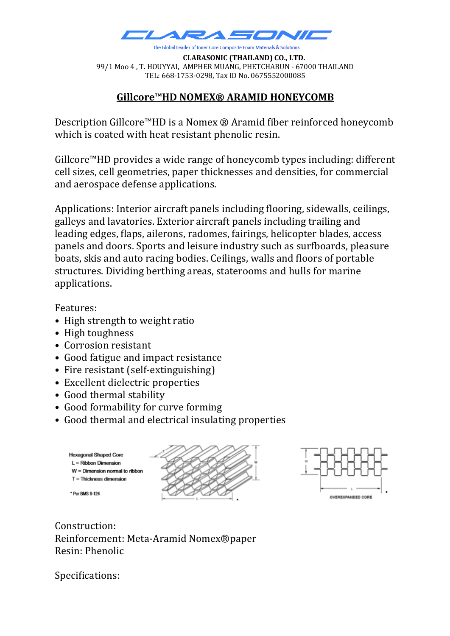

**CLARASONIC** (THAILAND) CO., LTD. 99/1 Moo 4, T. HOUYYAI, AMPHER MUANG, PHETCHABUN - 67000 THAILAND TEL: 668-1753-0298, Tax ID No. 0675552000085

## **Gillcore™HD NOMEX® ARAMID HONEYCOMB**

Description Gillcore™HD is a Nomex ® Aramid fiber reinforced honeycomb which is coated with heat resistant phenolic resin.

Gillcore™HD provides a wide range of honeycomb types including: different cell sizes, cell geometries, paper thicknesses and densities, for commercial and aerospace defense applications.

Applications: Interior aircraft panels including flooring, sidewalls, ceilings, galleys and lavatories. Exterior aircraft panels including trailing and leading edges, flaps, ailerons, radomes, fairings, helicopter blades, access panels and doors. Sports and leisure industry such as surfboards, pleasure boats, skis and auto racing bodies. Ceilings, walls and floors of portable structures. Dividing berthing areas, staterooms and hulls for marine applications. 

Features:

- High strength to weight ratio
- High toughness
- Corrosion resistant
- Good fatigue and impact resistance
- $\bullet$  Fire resistant (self-extinguishing)
- Excellent dielectric properties
- Good thermal stability
- Good formability for curve forming
- Good thermal and electrical insulating properties





Construction: Reinforcement: Meta-Aramid Nomex®paper Resin: Phenolic

Specifications: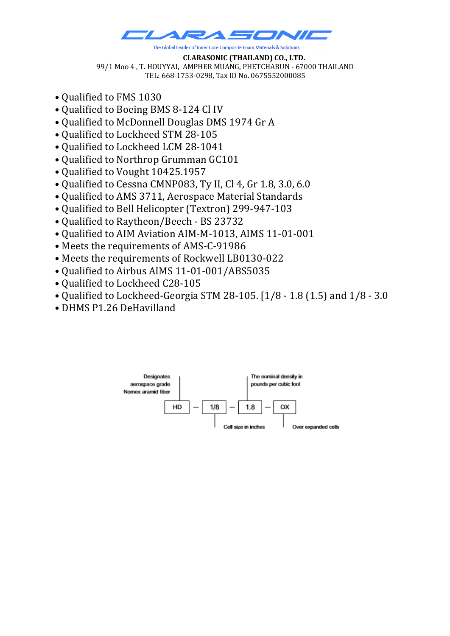

**CLARASONIC** (THAILAND) CO., LTD. 99/1 Moo 4, T. HOUYYAI, AMPHER MUANG, PHETCHABUN - 67000 THAILAND TEL: 668-1753-0298, Tax ID No. 0675552000085

- Oualified to FMS 1030
- Qualified to Boeing BMS 8-124 Cl IV
- Oualified to McDonnell Douglas DMS 1974 Gr A
- Qualified to Lockheed STM 28-105
- Qualified to Lockheed LCM 28-1041
- Qualified to Northrop Grumman GC101
- Qualified to Vought 10425.1957
- Qualified to Cessna CMNP083, Ty II, Cl 4, Gr 1.8, 3.0, 6.0
- Qualified to AMS 3711, Aerospace Material Standards
- Qualified to Bell Helicopter (Textron) 299-947-103
- Oualified to Raytheon/Beech BS 23732
- Qualified to AIM Aviation AIM-M-1013, AIMS 11-01-001
- Meets the requirements of AMS-C-91986
- Meets the requirements of Rockwell LB0130-022
- Qualified to Airbus AIMS 11-01-001/ABS5035
- Qualified to Lockheed C28-105
- Qualified to Lockheed-Georgia STM 28-105. [1/8 1.8 (1.5) and  $1/8 3.0$
- DHMS P1.26 DeHavilland

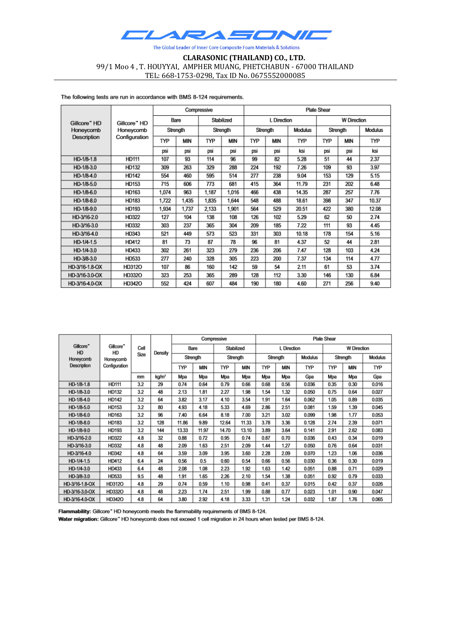

## **CLARASONIC (THAILAND) CO., LTD.** 99/1 Moo 4, T. HOUYYAI, AMPHER MUANG, PHETCHABUN - 67000 THAILAND TEL: 668-1753-0298, Tax ID No. 0675552000085

The following tests are run in accordance with BMS 8-124 requirements.

| Gillcore" HD<br>Honeycomb<br>Description | Gillcore" HD<br>Honeycomb<br>Configuration | Compressive |       |            |       | <b>Plate Shear</b> |            |                |                    |     |                |  |
|------------------------------------------|--------------------------------------------|-------------|-------|------------|-------|--------------------|------------|----------------|--------------------|-----|----------------|--|
|                                          |                                            | Bare        |       | Stabilized |       | L Direction        |            |                | <b>W</b> Direction |     |                |  |
|                                          |                                            | Strength    |       | Strength   |       | Strength           |            | <b>Modulus</b> | Strength           |     | <b>Modulus</b> |  |
|                                          |                                            | TYP         | MIN   | TYP        | MIN   | TYP                | <b>MIN</b> | TYP            | TYP                | MIN | TYP            |  |
|                                          |                                            | psi         | psi   | psi        | psi   | psi                | psi        | ksi            | psi                | psi | ksi            |  |
| HD-1/8-1.8                               | HD111                                      | 107         | 93    | 114        | 96    | 99                 | 82         | 5.28           | 51                 | 44  | 2.37           |  |
| HD-1/8-3.0                               | <b>HD132</b>                               | 309         | 263   | 329        | 288   | 224                | 192        | 7.26           | 109                | 93  | 3.97           |  |
| HD-1/8-4.0                               | <b>HD142</b>                               | 554         | 460   | 595        | 514   | 277                | 238        | 9.04           | 153                | 129 | 5.15           |  |
| HD-1/8-5.0                               | HD153                                      | 715         | 606   | 773        | 681   | 415                | 364        | 11.79          | 231                | 202 | 6.48           |  |
| HD-1/8-6.0                               | HD163                                      | 1,074       | 963   | 1,187      | 1,016 | 466                | 438        | 14.35          | 287                | 257 | 7.76           |  |
| HD-1/8-8.0                               | HD183                                      | 1,722       | 1,435 | 1,835      | 1,644 | 548                | 488        | 18.61          | 398                | 347 | 10.37          |  |
| HD-1/8-9.0                               | HD193                                      | 1,934       | 1,737 | 2,133      | 1,901 | 564                | 529        | 20.51          | 422                | 380 | 12.08          |  |
| HD-3/16-2.0                              | HD322                                      | 127         | 104   | 138        | 108   | 126                | 102        | 5.29           | 62                 | 50  | 2.74           |  |
| HD-3/16-3.0                              | HD332                                      | 303         | 237   | 365        | 304   | 209                | 185        | 7.22           | 111                | 93  | 4.45           |  |
| HD-3/16-4.0                              | HD343                                      | 521         | 449   | 573        | 523   | 331                | 303        | 10.18          | 178                | 154 | 5.16           |  |
| HD-1/4-1.5                               | <b>HD412</b>                               | 81          | 73    | 87         | 78    | 96                 | 81         | 4.37           | 52                 | 44  | 2.81           |  |
| HD-1/4-3.0                               | HD433                                      | 302         | 261   | 323        | 279   | 236                | 206        | 7.47           | 128                | 103 | 4.24           |  |
| HD-3/8-3.0                               | HD533                                      | 277         | 240   | 328        | 305   | 223                | 200        | 7.37           | 134                | 114 | 4.77           |  |
| HD-3/16-1.8-OX                           | <b>HD312O</b>                              | 107         | 86    | 160        | 142   | 59                 | 54         | 2.11           | 61                 | 53  | 3.74           |  |
| HD-3/16-3.0-OX                           | HD332O                                     | 323         | 253   | 365        | 289   | 128                | 112        | 3.30           | 146                | 130 | 6.84           |  |
| HD-3/16-4.0-OX                           | <b>HD342O</b>                              | 552         | 424   | 607        | 484   | 190                | 180        | 4.60           | 271                | 256 | 9.40           |  |

|                                          | Gillcore"<br>HD<br>Honeycomb | Cell<br>Size | Density |            |       | Compressive |       | Plate Shear |            |         |                    |            |         |  |
|------------------------------------------|------------------------------|--------------|---------|------------|-------|-------------|-------|-------------|------------|---------|--------------------|------------|---------|--|
| Gillcore <sup>*</sup><br>HD<br>Honeycomb |                              |              |         | Bare       |       | Stabilized  |       | L Direction |            |         | <b>W</b> Direction |            |         |  |
|                                          |                              |              |         | Strength   |       | Strength    |       | Strength    |            | Modulus | Strength           |            | Modulus |  |
| Description                              | Configuration                |              |         | <b>TYP</b> | MIN   | TYP         | MIN   | <b>TYP</b>  | <b>MIN</b> | TYP     | <b>TYP</b>         | <b>MIN</b> | TYP     |  |
|                                          |                              | mm           | kg/mª   | Mpa        | Mpa   | Mpa         | Mpa   | Mpa         | Mpa        | Gpa     | Mpa                | Mpa        | Gpa     |  |
| HD-1/8-1.8                               | <b>HD111</b>                 | 3.2          | 29      | 0.74       | 0.64  | 0.79        | 0.66  | 0.68        | 0.56       | 0.036   | 0.35               | 0.30       | 0.016   |  |
| HD-1/8-3.0                               | HD132                        | 3.2          | 48      | 2.13       | 1.81  | 2.27        | 1.98  | 1.54        | 1.32       | 0.050   | 0.75               | 0.64       | 0.027   |  |
| HD-1/8-4.0                               | HD142                        | 3.2          | 64      | 3.82       | 3.17  | 4.10        | 3.54  | 1.91        | 1.64       | 0.062   | 1.05               | 0.89       | 0.035   |  |
| HD-1/8-5.0                               | HD153                        | 3.2          | 80      | 4.93       | 4.18  | 5.33        | 4.69  | 2.86        | 2.51       | 0.081   | 1.59               | 1.39       | 0.045   |  |
| HD-1/8-6.0                               | HD163                        | 3.2          | 96      | 7.40       | 6.64  | 8.18        | 7.00  | 3.21        | 3.02       | 0.099   | 1.98               | 1.77       | 0.053   |  |
| HD-1/8-8.0                               | HD183                        | 3.2          | 128     | 11.86      | 9.89  | 12.64       | 11.33 | 3.78        | 3.36       | 0.128   | 2.74               | 2.39       | 0.071   |  |
| HD-1/8-9.0                               | HD193                        | 3.2          | 144     | 13.33      | 11.97 | 14.70       | 13.10 | 3.89        | 3.64       | 0.141   | 2.91               | 2.62       | 0.083   |  |
| HD-3/16-2.0                              | <b>HD322</b>                 | 4.8          | 32      | 0.88       | 0.72  | 0.95        | 0.74  | 0.87        | 0.70       | 0.036   | 0.43               | 0.34       | 0.019   |  |
| HD-3/16-3.0                              | HD332                        | 4.8          | 48      | 2.09       | 1.63  | 2.51        | 2.09  | 1.44        | 1.27       | 0.050   | 0.76               | 0.64       | 0.031   |  |
| HD-3/16-4.0                              | HD342                        | 4.8          | 64      | 3.59       | 3.09  | 3.95        | 3.60  | 2.28        | 2.09       | 0.070   | 1.23               | 1.06       | 0.036   |  |
| HD-1/4-1.5                               | <b>HD412</b>                 | 6.4          | 24      | 0.56       | 0.5   | 0.60        | 0.54  | 0.66        | 0.56       | 0.030   | 0.36               | 0.30       | 0.019   |  |
| HD-1/4-3.0                               | HD433                        | 6.4          | 48      | 2.08       | 1.08  | 2.23        | 1.92  | 1.63        | 1.42       | 0.051   | 0.88               | 0.71       | 0.029   |  |
| HD-3/8-3.0                               | HD533                        | 9.5          | 48      | 1.91       | 1.65  | 2.26        | 2.10  | 1.54        | 1.38       | 0.051   | 0.92               | 0.79       | 0.033   |  |
| HD-3/16-1.8-OX                           | HD312O                       | 4.8          | 29      | 0.74       | 0.59  | 1.10        | 0.98  | 0.41        | 0.37       | 0.015   | 0.42               | 0.37       | 0.026   |  |
| HD-3/16-3.0-OX                           | HD332O                       | 4.8          | 48      | 2.23       | 1.74  | 2.51        | .99   | 0.88        | 0.77       | 0.023   | 1.01               | 0.90       | 0.047   |  |
| HD-3/16-4.0-OX                           | <b>HD342O</b>                | 4.8          | 64      | 3.80       | 2.92  | 4.18        | 3.33  | 1.31        | 1.24       | 0.032   | 1.87               | 1.76       | 0.065   |  |

Flammability: Gillcore" HD honeycomb meets the flammability requirements of BMS 8-124.

Water migration: Gillcore" HD honeycomb does not exceed 1 cell migration in 24 hours when tested per BMS 8-124.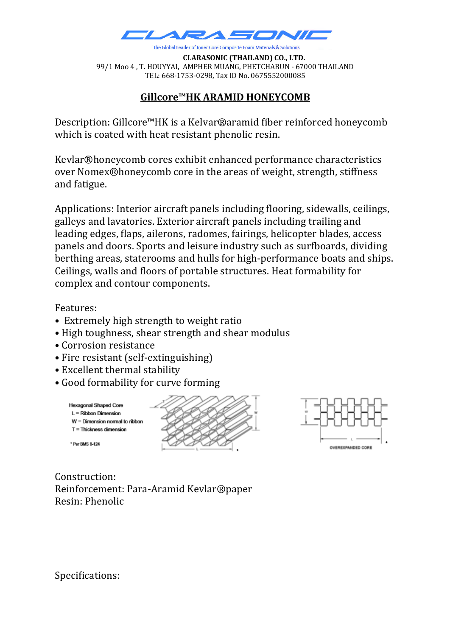

**CLARASONIC** (THAILAND) CO., LTD. 99/1 Moo 4, T. HOUYYAI, AMPHER MUANG, PHETCHABUN - 67000 THAILAND TEL: 668-1753-0298, Tax ID No. 0675552000085

## **Gillcore™HK ARAMID HONEYCOMB**

Description: Gillcore™HK is a Kelvar®aramid fiber reinforced honeycomb which is coated with heat resistant phenolic resin.

Kevlar®honeycomb cores exhibit enhanced performance characteristics over Nomex®honeycomb core in the areas of weight, strength, stiffness and fatigue.

Applications: Interior aircraft panels including flooring, sidewalls, ceilings, galleys and lavatories. Exterior aircraft panels including trailing and leading edges, flaps, ailerons, radomes, fairings, helicopter blades, access panels and doors. Sports and leisure industry such as surfboards, dividing berthing areas, staterooms and hulls for high-performance boats and ships. Ceilings, walls and floors of portable structures. Heat formability for complex and contour components.

Features:

- Extremely high strength to weight ratio
- High toughness, shear strength and shear modulus
- Corrosion resistance
- Fire resistant (self-extinguishing)
- Excellent thermal stability
- Good formability for curve forming





Construction: Reinforcement: Para-Aramid Kevlar®paper Resin: Phenolic

Specifications: